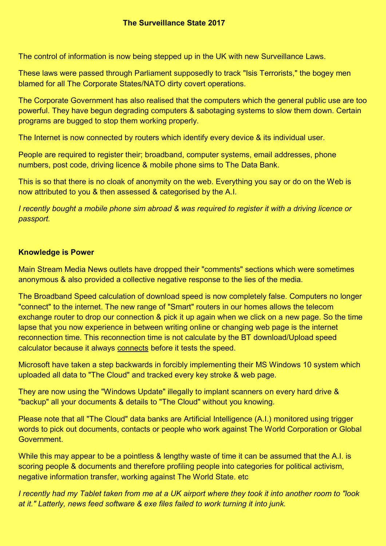The control of information is now being stepped up in the UK with new Surveillance Laws.

These laws were passed through Parliament supposedly to track "Isis Terrorists," the bogey men blamed for all The Corporate States/NATO dirty covert operations.

The Corporate Government has also realised that the computers which the general public use are too powerful. They have begun degrading computers & sabotaging systems to slow them down. Certain programs are bugged to stop them working properly.

The Internet is now connected by routers which identify every device & its individual user.

People are required to register their; broadband, computer systems, email addresses, phone numbers, post code, driving licence & mobile phone sims to The Data Bank.

This is so that there is no cloak of anonymity on the web. Everything you say or do on the Web is now attributed to you & then assessed & categorised by the A.I.

*I recently bought a mobile phone sim abroad & was required to register it with a driving licence or passport.*

# **Knowledge is Power**

Main Stream Media News outlets have dropped their "comments" sections which were sometimes anonymous & also provided a collective negative response to the lies of the media.

The Broadband Speed calculation of download speed is now completely false. Computers no longer "connect" to the internet. The new range of "Smart" routers in our homes allows the telecom exchange router to drop our connection & pick it up again when we click on a new page. So the time lapse that you now experience in between writing online or changing web page is the internet reconnection time. This reconnection time is not calculate by the BT download/Upload speed calculator because it always connects before it tests the speed.

Microsoft have taken a step backwards in forcibly implementing their MS Windows 10 system which uploaded all data to "The Cloud" and tracked every key stroke & web page.

They are now using the "Windows Update" illegally to implant scanners on every hard drive & "backup" all your documents & details to "The Cloud" without you knowing.

Please note that all "The Cloud" data banks are Artificial Intelligence (A.I.) monitored using trigger words to pick out documents, contacts or people who work against The World Corporation or Global **Government** 

While this may appear to be a pointless & lengthy waste of time it can be assumed that the A.I. is scoring people & documents and therefore profiling people into categories for political activism, negative information transfer, working against The World State. etc

*I recently had my Tablet taken from me at a UK airport where they took it into another room to "look at it." Latterly, news feed software & exe files failed to work turning it into junk.*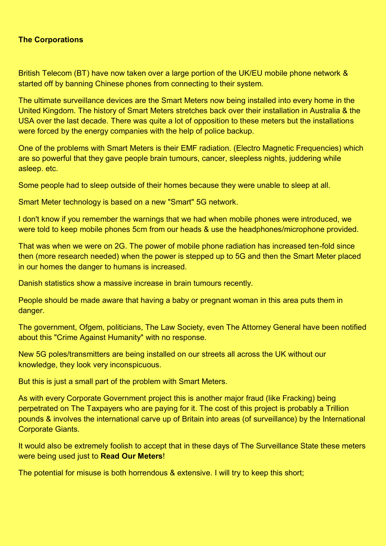## **The Corporations**

British Telecom (BT) have now taken over a large portion of the UK/EU mobile phone network & started off by banning Chinese phones from connecting to their system.

The ultimate surveillance devices are the Smart Meters now being installed into every home in the United Kingdom. The history of Smart Meters stretches back over their installation in Australia & the USA over the last decade. There was quite a lot of opposition to these meters but the installations were forced by the energy companies with the help of police backup.

One of the problems with Smart Meters is their EMF radiation. (Electro Magnetic Frequencies) which are so powerful that they gave people brain tumours, cancer, sleepless nights, juddering while asleep. etc.

Some people had to sleep outside of their homes because they were unable to sleep at all.

Smart Meter technology is based on a new "Smart" 5G network.

I don't know if you remember the warnings that we had when mobile phones were introduced, we were told to keep mobile phones 5cm from our heads & use the headphones/microphone provided.

That was when we were on 2G. The power of mobile phone radiation has increased ten-fold since then (more research needed) when the power is stepped up to 5G and then the Smart Meter placed in our homes the danger to humans is increased.

Danish statistics show a massive increase in brain tumours recently.

People should be made aware that having a baby or pregnant woman in this area puts them in danger.

The government, Ofgem, politicians, The Law Society, even The Attorney General have been notified about this "Crime Against Humanity" with no response.

New 5G poles/transmitters are being installed on our streets all across the UK without our knowledge, they look very inconspicuous.

But this is just a small part of the problem with Smart Meters.

As with every Corporate Government project this is another major fraud (like Fracking) being perpetrated on The Taxpayers who are paying for it. The cost of this project is probably a Trillion pounds & involves the international carve up of Britain into areas (of surveillance) by the International Corporate Giants.

It would also be extremely foolish to accept that in these days of The Surveillance State these meters were being used just to **Read Our Meters**!

The potential for misuse is both horrendous & extensive. I will try to keep this short;